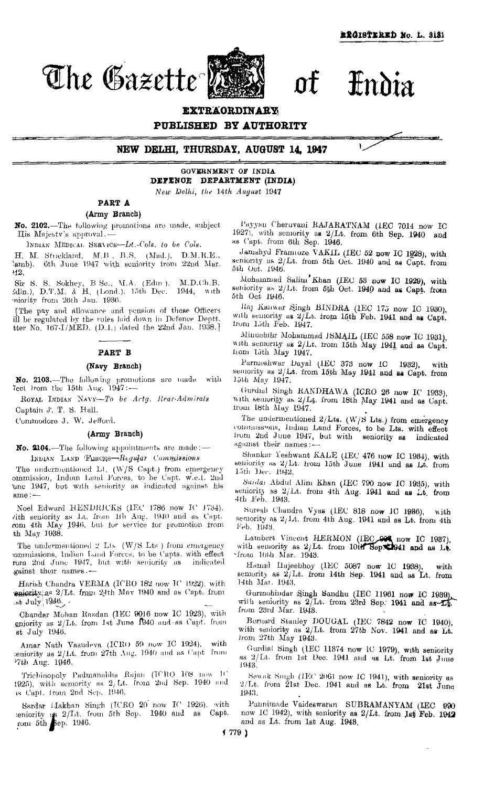*The Gazette* of India



**EXTRAORDINARY**

**PUBLISHED BY AUTHORITY**



**NEW DELHI, THURSDAY, AUGUST 14, 1947**

GOVERNMENT OF INDIA **DEFENCE DEPARTMENT (INDIA)** *New Delhi, the 14th August* 1947

**PART A (Army Branch)**

**No. 2102.**—The following promotions are made, subject IIis Majesty's approval.'—

INDIAN MEDICAL SERVICE—Lt*.-Cols. to be Cols.*

H. M. Strickland, M.B. B.S. (Mad.), D.M.R.E., lamb). 6th June 1947 with seniority from 22nd Mar. 42.

Sir S. S. Sokhey, B. Sc., M.A. (Edm ), M.D.Ch.B. Edin.), D.T.M. & H. (Lond.), 15th Dec. 1944, with seniority from 26th Jan. 1936.

The pay and Allowance and pension of these Officers ill be regulated by the rules laid down in Defence Deptt. tter No.  $167-1/MED$ . (D.1.) dated the 22nd Jan. 1938.]

## **PART B**

# **(Navy Branch)**

**No. 2103.**—The following promotions are made with Tect from the 15th Aug.  $1947$ :

ROYAL, INDIAN NAVV—*To be Actg. Rear-Admirals* Captain J. T. S. Hall.

Commodore J. W. Jefford.

### **(Army Branch)**

**No. 2104.**—The following appointments are made: — INDIAN LAND Forces—*Regular Commissions*

The undermentioned Lt. (W/S Capt.) from emergency commission, Indian Land Forces, to be Capt, w.e.f. 2nd 'une 1947, but with seniority as indicated against his ame: -

Noel Edward HENDRICKS (IEC 1786 now IC 1734), vith seniority as Lt. from  $10^{\circ}$  Aug. 1940 and as Ca  ${\bf r}$ om 4th May 1946, but for service for promotion from th May 1938.

The undermentioned *2* Lts (W/S Lts ) from emergency commissions, Indian Land Forces, to be Capts. with effect rora 2nd June 1947, but with seniority as indicated rom 2nd June 1947, but with seniority as gainst their names.

Harish Chandra VERMA (ICRO 182 now IC 1922*),* with seniority as 2/Lt. from 24th May 1940 and *as C*apt. from  $July$  1946.

Chandar Mohan Razdan (IEC 9016 now IC 1923), with eniority as 2/Lt. from 1st June 1940 and as Capt. from st July 1946.

Amar Nath Vasudeva (ICRO 59 now IC 1924), with seniority as 2/Lt. from 27th Aug. 1940 and as Capt from 27th Aug. 1946.

Trichinopoly Padmanabha Rajan (ICRO 108 now 1925), with seniority as 2/ Lt. from 2nd Sep. 1940 and as Capt. from 2nd Sep. 1946.

Sardar Makhan Singh (ICRO 20 now IC 1926), with seniority as 2/Lt. from 5th Sep. 1940 and as Capt. from 5th Sep, 1946.

Payyan Cheruvani RAJARATNAM *(LEG* 7014 now IC 1927), with seniority as 2/Lt. from 6th Sep. 1940 *and* as Capt. from 6th Sep. 1946.

Jamshyd Framioze VAKIL (IEC 52 now IC 1928), with seniority as 2/Lt. from 5th Oct. 1940 and *as* Capt. from 5th Oct. 1946.

Mohammad Salim Khan (IEC 58 now IC 1929), with seniority as  $2/Lt$ . from 5th Oct. 1940 and as Capt. from 5th Oct 1946.

Raj Kanwar Singh BINDRA (IEC 175 now IC 1930), with seniority as *2/Lt.* from 15th Feb. 1941 and as Capt, from 15th Feb. 1947.

Minuchihr Mohammad ISMAIL (IEC 558 now IC 1931), with seniority as 2/Lt, from 15th May 1941 and as Capt. from 15th May 1947.

Parmeshwar Dayal (IEC 373 now IC 1932), with semority as  $2/Lt$ , from 15th May 1941 and as Capt. from 15th May 1947.

Gurdial Singh RANDHAWA (ICRO 26 now IC 1933), with seniority as 2/Lt. from 18th May 1941 and as Capt. from 18th *May* 1947.

The undermentioned  $2/L$ ts. (W/S Lts.) from emergency commissions, Indian Land Forces, to be Lts. with effect from 2nd June 1947, but with seniority as indicated against their names:—

Shankar Yeshwant KALE (IEC 476 now IC 1984), with seniority as 2/Lt. from 15th June 1941 and as Lt. from 15th Dec. 1942.

*Sardar* Abdul Alim Khan (IEC 790 now IC 1935), with seniority as  $2/Lt$ . from 4th Aug. 1941 and as Lt. from 4th Feb. 1943.

Suresh Chandra Vyas (IEC 818 now JC 1986), with seniority as  $2/Lt$ . from 4th Aug. 1941 and as Lt. from 4th Feb. 1948.

Lambert Vincent HERMON (IEC 004 now IC 1937), with semority as 2/Lt. from 10th Sep. 1941 and as Lt. from 10th Mar. 1943.

Harmd Hajeebhoy (IEC 5087 now IC 1988), with seniority as  $2/Lt$ . from 14th Sep. 1941 and as Lt. from 14th MAT. 1943,

Gurmohindar Singh Sandhu (IEC 11961 now IC 1639), with seniority as  $2/Lt$ . from 23rd Sep. 1941 and as Lt. from 28rd War. 1948.

Bernard Stanley DOUGAL (IEC 7842 now IC 1940), with seniority as  $2/Lt$ . from  $27th$  Nov. 1941 and as Lt. from 27th May 1943.

Gurdial Singh (IEC 11374 now IC 1979), with seniority as 2/Lt. from 1st Dec. 1941 and as Lt. from 1st June 1943.

Sewak Singh *(IEC* 2061 now IC 1941), with seniority as  $2/Lt$ . from  $21st$  Dec. 1941 and as Lt. from 21st  $\tilde{J}$ une 1943.

Paunimade Vaideswaran SUBRAMANYAM (IEC 990 now 1C 1942), with seniority as  $2/Lt$ . from 1st Feb. 1942 and as Lt. from 1st Aug. 1943.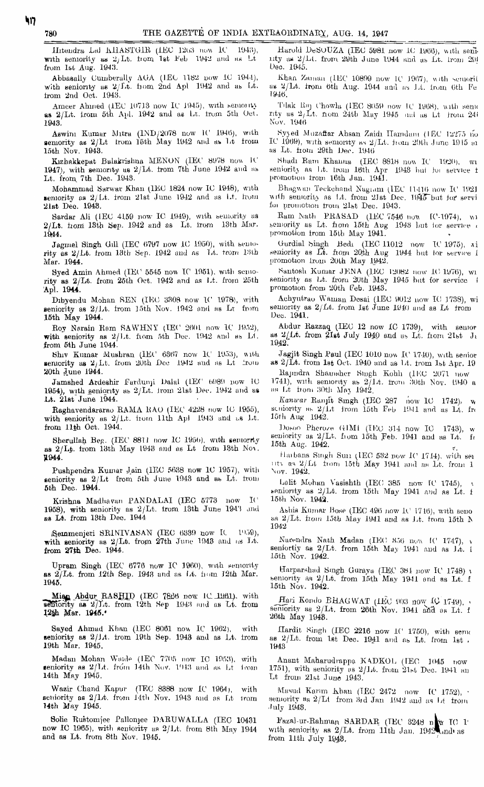Ilitendra LaJ KHASTGIR (IEC 1263 now 10 1943), with seniority as  $2/Lt$ . from 1st Feb 1942 and as Lt from l&i, Aug. 1943.

Abbasally Cumberally AGA (IEC 1182 now IC 1944), with seniority as  $2/\text{Li}$ , from 2nd Apl 1942 and as Lt. trom 2nd Oct. 1943.

Ameer Ahmed (1EC 10713 now IC 1945), with semonty as  $2/\mathrm{Lt}$ . from 5th Apl. 1942 and as Lt. from 5th Oct. 1943.

 ${\rm A}$ swini Kumar Mitra (IN ${\rm D}/2078$  now IC 1946), with semority as  $2/\rm{Lt}$  trom 15th May 1942 and as Lt from 15th Nov. 1943.

Kızhakkepat Bulakrishna MENON (IEC 8978 now IC 1947), with semonty as  $2/Lt$ . from 7th June 1942 and as Lt. from. 7th Dec. 1943.

Mohammad Sarwar Khan (IEC 1824 now IC 1948), with seniority as  $2/Lt$ . from  $21st$  June 1942 and as Lt. from 21st Deo. 1948.

Sardar Ali (IEC 4159 now IC 1949), with semerity us  $2/Lt$ , from 13th Sep. 1942 and as Lt. irom 13th Mar. 1944.

Jagmel Singh Gill (IEC 5797 now 10 1950), with seniority as 2/Lt. from 13th Sep. 1942 and as Lt. trom 13th Mar. 1944.

Syed Amin Ahmed (IEC 5545 now IC 1951), with seniority as 2/Lt. from 25th Oct. 1942 and aa Lt. from 25th Apl. 1944.

Dibyendu Mohan BEN (IEO 3808 now *IV* 1978), with seniority as  $2/Lt$ . from 15th Nov. 1942 and as Lt from 16th May 1944.

Roy Narain Ram SAWHNY (IEC 2601 now IC 1952), with seniority as  $2/Lt$ . from 5th Pec. 1942 and as Li. from 5th June 1944.

Shiv Kumar Mushran (IEC 6357 now It' 1953), with seniority as  $2/Lt$ . from 20th Doe 1942 and as Lt  $20$ roin 20th June 1944.

Jamshed Ardeshir Fardunji Dalal (IEC 6989 now 10 1954), with seniority as  $2/Lt$ . from 21st Dec. 1942 and as Lt. 21st June 1944.

Baghavendararao EAMA BAG (IEC 4228 now LO 1955), with seniority as  $2/Lt$ . from 11th ApJ 1943 and as Lt. from 11th Oct. 1944.

Sherullah Beg. (IEC 8811 now IC 1956), with semorty as 2/Lb. irom 18th May 1949 and as Lt from 13th No\. JL944.

Pushpendra Kumar Jain (IEC 5688 now 1C 1957), with seniority as  $2/Lt$  from 5th June 1948 and as  $Lt'$  from 5th Dec. 1944.

Krishna Madhavan PANDALAI (IEC 5773 now II<sup>\*</sup> 1958), with seniority as  $2/Lt$ . irom 13th June 194') and ae Lt. from 13th Deo. 1944

iS.einmenjeri SE1NIVASAN (IEO (1389 now It l'i:>9), with seniority as  $2/\mathrm{Lt}$ , from  $27\mathrm{th}$  June 1943 and as Lt. from  $27th$  Dec.  $1944.$ 

Upram Singh (IEC 6776 now IC 1960), with seniority as  $2/Lt$ . from 12th Sep. 1943 and as Lt. from 12th Mar. 1945.

Mien Abdur RASHID (IEC 7866 now IC 1961), with  $\overline{\text{softmax}}$  as  $2/\text{Lt}$ . from 12th Sep 1943 and as Lt. from 12th Mar. 1945.

Sayed Ahmad Khan (IEC 8061 now IC 1962), with seniority as  $2/Lt$ . from 19th Sep. 1943 and as Lt. from 19th Mar. 1945.

Madan Mohan Wande (IEC 7705 now IC 1953), with seniority as  $2/Lt$ , from 14th Nov. 1943 and as  $Lt$  from 14th May 1945.

Wazir Ohand Kapur (TEC 8388 now IC 1964), with seniority as  $2/\text{L}t$ . from 14th Nov. 1943 and as Lt trom 14th May 1945.

Solie Rustomjee Pallonjee DARUWALLA (IEC 10431 now IC 1965), with seniority as 2/Lt. from 8th May 1944 and as Lt. from 8th Nov. 1945.

Harold DeSOUZA (IEC 5981 now 10 1966), with seninty as  $2/Lt$ . from 29th June 1944 and as Lt. Irom  $29i$ Deo. IMS.

Khan Zaman (IEC 10899 now 1C 1967), with semorit as 2/Lt. from 6th Aug. 1944 and as Lt. from 6th Fe 1946.

Tilak Raj Chowla (IEC 8059 now IC 1968), with sena nty as li/Lt. flora 24tli May 1945 md us Lt h'om 24i Nov. 1946

Hyjed Muzattar Ahsan Zaidi ITamdum (IEO IH'27.5 no  $\,$  1969), with semority as  $2/\rm{L}$ t. from  $29$ th June  $1915$  and as Lt. iiom 29th *Dec.* 1945

Hhudi Earn Khaiina (IEO 881H now IC 1920), wi Heniorify *an* Lt. hviu 16th Apr 1943 1ml fui service t promotion trom 16th Jan. 1941.

Bhagwun Teckchand Nugiam (IEC 11416 now IC 1921 with seniority as Lt. from 21st Dec. 1945 but for servi for promotion from 21st Dec. 1943.

 $\text{Ram } \text{Math }$  PRASAD (IEC 7546 now 10-1974), wi semority as Lt. from 15th Aug 1943 but for service promotion from 15th May 1941.

Gurdial bingh Bedi (IEO 11012 now IC 1975), \*i  $\,$  seniority as  $\rm L\bar{t}$ . from  $20$ th  $\rm{Aug-1944}$  but for service i promotion from 20th May 1942.

Santosh Kumar JENA (IEO 12082 now 10 1976), wi seniority as Lt. from 20th May 1945 but for service i promotion from '20th *Feb.* 1943.

Achyutrao Waman Desai (IEC 9012 now IC 1738), wi seniority as  $2/Lt$ . from let  $\tilde{J}$ une 1940 und as Lt from Deo. 1941.

Abdur Razzaq (IEC 12 now IC 1739), with senior as  $2/Lt$ . from  $21st$  July 1940 and as Lt. from  $21st$  J<sub>i</sub> 1942.'

Jagjit Singh Paul (IEC 1010 now IC 1740), with senior as  $2/\text{L}t$ . from 1st Oct. 1940 and as Lt. from 1st Apr. 19

Eajmdra Shaumhcr Hiugh Kohh (1EO 2071 now 1741), with seniority as  $2/\mathrm{Lt}$ . trom  $30\mathrm{th}$  Nov. 1940 a  $\pi$  Lt from 30th May 1942.

*Kanicar* Eanjit Smgh (IEC 287 now 10 1742), w seniority as  $2/1$ t jrom  $15\mathrm{th}$  Feb  $1941$  and as  $14$ . fro 15th Aug 1942.

Dosoo Pheroze GIM1 (IEC 314 now IC 1743), w seniority as 2/Lt. from 15th Feb. 1941 and as Lt. fr 15th Aug. 1942.

Harbans Singh Sun (IEC 532 now IC 1714), with ser nty as  $2/Lt$  from 15th May 1941 and as Lt. from 1 Nov. 1942.

Lolit Mohan Vasishth (IEC 385 now  $C_{1745}$ ), seniority as 2/Lt. irom 15th May 1941 and as Lt. f 15th Nov. 1942.

Abliis Kumar Hone (IEO 496 now *IV* 1716), with seno as  $2/Lt$ . from 15th May 1941 and as Lt. trom 15th N 1942

Narendra Nath Madan (IEC 356 now  $10^{\circ}$  1747), v seniortiy as  $2/Lt$ . from 15th May 1941 and as  $1/t$ . 1 15th Nov. 1942.

Harparshud Smgh Guraya (IEO 381 now IC 1748) \  $\frac{1}{2}$  bemonty as  $\frac{2}{Lt}$ , from 15th May 1941 and as Lt. f 15th Nov. 1942.

Hari Kondo BHAGWAT (IEC 903 now IC 1749), seniority as 2/Lt. from 26th Nov. 1941 and as Lt. f 26th May 1948.

Hardit Singh (IEC  $2216$  now  $1$ <sup>('</sup> 1750), with senud as  $2/Lt$ . from 1st Dec. 1941 and as Lt. from 1st. 1943

Anant Maharudrappa K\DKOL (IEO 1045 now 1751), with seniority as 2/Lt. from 21st Dec. 1941 an  $\rm{Lt}$  from  $21st$  June 1943.

Masud Karim Khan (TEC 2472 now  $\lbrack$  IC 1752),  $\cdot$ seniority as 2/Lt from 3rd Jan 1942 and as Lt from July 1948.

Fazal-ur-Eahman SAEDAE\_ (TEC 8248 nlty TO I<sup>1</sup> with seniority as  $2/\mathrm{Lt}$ , from  $11\mathrm{th}$   $\mathrm{J}$ an,  $1942$   $\mathrm{M}$ nd $\mathrm{u}$ s from 11th July  $1948$ .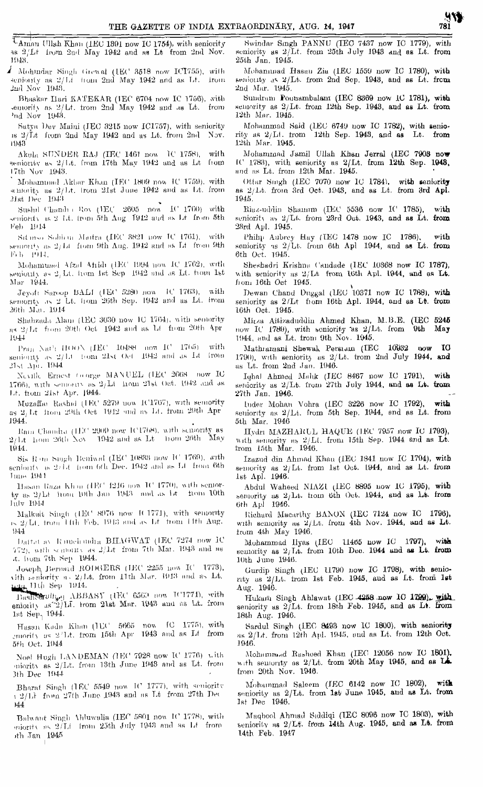TAman Ullah Khan (IEC 1891 now IC 1754), with seniority as  $2/Lt$  from 2nd May 1942 and as Lt from 2nd Nov. 1948.

A Mohmdar Singh Grewal (IEC 3518 now ICI755), with senionty as 2/14 from 2nd May 1942 and as Lt. from 2nd Nov 1943.

Bhaskar Hari KATEKAR (IEC 6704 now IC 1756), with emority as  $2/\mathsf{L}t$ , from 2nd May 1942 and as  $\mathsf{L}t$ , from 'nd Nov 1943.

Satyn Dev Maini (IEC 3215 now IC1757), with seniority is 2/It from 2nd May 1942 and as Lt. from 2nd Nov. 1943

Akula SUNDER RAJ (IEC 1461 now 1C 1758), with seniority as 2/1t. from 17th May 1942 and as Lt from 17th Nov 1943.

Mohammad Akbar Khan (IEC 1809 now IC 1759), with semonity as 2/1d. from 21st June 1942 and as Lt. from 21st Dec 1943

Sushil Chandi + Roy (HEC 2605 now IC 1760) with seniority is 2 Lt. (rom 5th Aug 1942 and as Lt from 5th Feb 1914

Situiso Sobbui Maitra (IEC 3821 now IC 1761), with semonty as 2/Lt from 9th Aug. 1942 and as Lt from 9th Feb. 1944.

Mohamunal Afzal Afridi (HEC 1994 now IC 1762), with senionity as 2. Lt. from 1st Sep 1942 and as Lt. from 1st Mar 1944.

Jeyoti Saroop BALI (IEC 5280 now IC 1763), with semority as 2 Lt. from 26th Sep. 1942 and as Lt. from 26th Mar. 1914

Shahzada Alam (IEC 3030 now IC 1764), with semority as 2/Lt from 20th Oct 1942 and as Lt from 20th Apr 1944

Pran Nat'i HOON (IEC 10488 now IC 1765) with seniouty as 2/Lt 10m 21st Oct 1942 and as Lt from 21st Apr. 1944

Neville Ernest George MANUEL (IEC 2668 now IC 1766), with semiority as  $2/Lt$  -from 21st Oct. 1942 and as Lt. hom 21st Apr. 1944.

Muzaffar Rashid (IEC 5279 now IC1767), with semority as  $2/1$ t from 20th Oct 1912 and as Lt. from 20th Apr  $1944.$ 

Bam Chandra (HIC 2909 now IC1768), with semonty as 2/Lt Trom 26th Nov 1942 and as Lt Trom 26th May  $1944.$ 

Sis R m Singh Beniwal (IEC 10833 now IC 1769), with senionty as 2/Lt from 6th Dec. 1942 and as Lt from 6th  $\rm{J\,m\,s}$  1944

Hasan Raza Khui (IEC 1216 now 1C 1770), with semorby as 2/Lt from 10th Jan 1943 and as Lt from 10th July 1944

Malkult Singh (1EC 8976 now IC1771), with semority  $\approx 2/\mathrm{Li}$ , from  $1\mathrm{th}$  Feb. 1943 and as  $\mathrm{Li}$  from 14th Aug.  $944$ 

Dattat av Ranch undra BHAGWAT (IEC 7274 now IC 772), with sentomic as  $2/\text{Lt}$  from 7th Mar. 1943 and as .t. from 7th Sep 1944.

Joseph Bernard RODGERS (HRC 2255 now IC 1773), vith seniority as 2/Lt. from 11th Mar. 1913 and as Lt.

Length Hep 1914.<br>
Basheerult<sub>o</sub>n ABBASY (1EC 6563 now IC1774), with<br>
enjoity as 2) LL from 21st Mar. 1943 and as Lt. from 1st Sep. 1944.

Hasan Kadu Khan (HC 5665 now IC 1775), with<br>emority as 2/Lt, from 15th Apr 1943 and as Lt from 5th Oct. 1944

Noel Hugh LANDEMAN (IEC 7928 now IC 1776) with miority as 2/Lt. from 13th June 1943 and as Lt. from 3th Dec 1944

Bharat Singh (1EC 5549 now IC 1777), with seniority  $\pm 2/Lt$  from 27th June 1943 and as Lt from 27th Dec  $144$ 

Balwant Singh Ahluwalia (IEC 5801 now IC 1778), with miority as 2/L4 from 25th July 1943 and as Lt from ith Jan<sub>, 1945</sub>

Swindar Singh PANNU (IEC 7437 now IC 1779), with seniority as  $2/Lt$ . from  $25th$  July 1948 and as Lt. from 25th Jan. 1945.

Mohammad Hasan Zia (IEC 1559 now IC 1780), with seniority as 2/Lt. from 2nd Sep. 1948, and as Lt. from 2nd Mar. 1945.

Sundram Ponnambalam (IEC 8369 now IC 1781), with semority as 2/Lt. from 12th Sep. 1943, and as Lt. from 12th Mar. 1945.

Mohammad Said (IEC 6749 now IC 1782), with semiority as 2/Lt. from 12th Sep. 1943, and as Lt. from 12th Mar. 1945.

Mohammad Jamil Ullah Khan Jerral (IEC 7908 now IC 1783), with seniority as 2/Lt. from 12th Sep. 1948, and as Lt. from 12th Mar. 1945.

Ottar Smgh (1EC 7070 now 1C 1784), with seniority as 2/1.t. from 3rd Oct. 1943, and as Lt. from 3rd Apl. 1945.

Riaz-uddin Shamum (IEC 5536 now IC 1785), with seniority as  $2/Lt$ , from 23rd Oct. 1943, and as Lt. from 28rd Apl. 1945.

Philip Aubrey Hay (IEC 1478 now IC 1786), with<br>seniority as 2/Lt. from 6th Apl 1944, and as Lt. from 6th Oct. 1945.

Sheshadri Krishna Candade (IEC 10368 now IC 1787), with seniority as 2/Lt from 16th Apl. 1944, and as Lt. from 16th Oct 1945.

Dewan Chand Duggal (IEC 10371 now IC 1788), with seniority as 2/Lt from 16th Apl. 1944, and as Lt. from 16th Oct. 1945.

Mirza Aitizaduddin Ahmed Khan, M.B.E. (UEC 5245 now IC 1789), with seniority as 2/Lt. from 9th May 1944, and as Lt. from 9th Nov. 1945.

Mathramani Shewak Persiam (IEC 10932 now IO 1790), with seniority as 2/Lt. trom 2nd July 1944, and us Lt. from 2nd Jun. 1946.

Iqbal Ahmed Mahk (IEC 8467 now IC 1791), with semority as 2/Lt. from 27th July 1944, and as Lt. trom 27th Jan, 1946.

Inder Mohan Vohra (IEC 3226 now IC 1792), with seniority as 2/Lt. from 5th Sep. 1944, and as Lt. from 5th Mar. 1946

Hydri MAZHARUL HAQUE (IEC 7957 now IC 1793), with semiority as  $2/Lt$ . from 15th Sep. 1944 and as Lt.  $from 15th$   $Mar. 1946.$ 

Izazud din Ahmad Khan (IEC 1841 now IC 1794), with semority as 2/Lt. from 1st Oct. 1944, and as Lt. from 1st Apl. 1946.

Abdul Waheed NIAZI (IEC 8895 now IC 1795), with semority as  $2/Lt$ . trom 6th Oct. 1944, and as Lt. from 6th Apl 1946.

Richard Macarthy BANON (IEC 7124 now IC 1796), with semority as  $2/Lt$ , from 4th Nov. 1944, and as Lt. from 4th May 1946.

Mohammad Ilyas (IEC 11465 now IC 1797), with semerity as  $2/\text{I.t. from 10th Deo. 1944 and as Lt. from}$ 10th June 1946.

Gurdip Singh (IEC 11790 now IC 1798), with seniority as 2/1.t. from 1st Feb. 1945, and as Lt. from 1st Aug. 1946.

Hukam Singh Ahlawat (IEC 4258 now IC 1799). with seniority as  $2/Lt$ , from 18th Feb. 1945, and as Lt. from 18th Aug. 1946.

Sardul Singh (IEC 8493 now IC 1800), with seniority as 2/Lt. from 12th Apl. 1945, and as Lt. from 12th Oct. 1946.

Mohammed Rasheed Khan (IEC 12056 now IC 1801) with semiority as 2/Lt. from 20th May 1945, and as LA. from 20th Nov. 1946.

Mohammad Saleem (IEC 6142 now IC 1802),  $\mathbf{with}$ seniority as 2/Lt. from 1st June 1945, and as Lt. from 1st Dec 1946.

Maqbool Ahmad Siddiqi (IEC 8096 now IC 1803), with seniority as  $2/Lt$ , from 14th Aug. 1945, and as Lt. from 14th Feb. 1947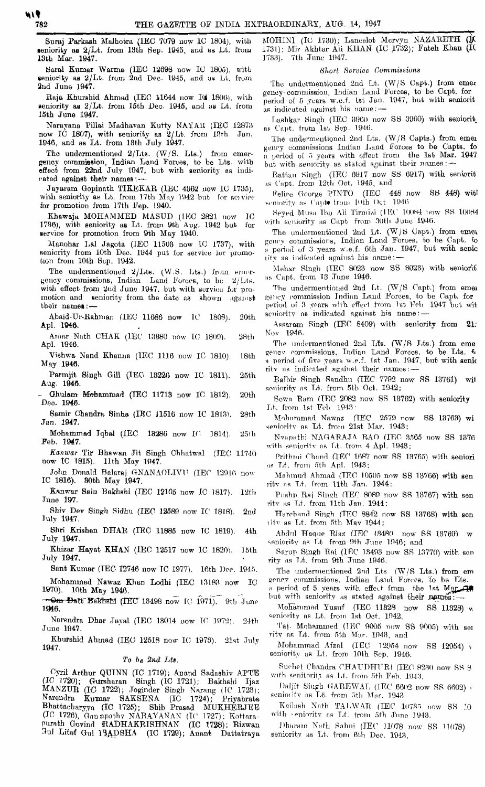Suraj Parkash Malhotra (IEC 7079 now IC 1804), with teniority as 2/Lt. from 13th Sep. 1945, and as Lt. from 13th Mar. 1947.

Saral Kumar Warma (IEC 12698 now IC 1805), with seniority as  $2/Lt$ . from  $2n$ d Dec. 1945, and us L $t$ . from 2nd June 1947.

Raja Khurshid Ahmad (IEC 11644 now IO 1806), with seniority as 2/Lt. from 15th Dec. 1945, and *aa* Lt. from 15th June 1947.

Narayana Pillai Madhavan Kutty NAYAR (IEC 12873 now IC 1807), with seniority as  $2/Lt$ . from 18th Jan. 1046, and aa Lt. from 13th July 1947.

The undermentioned  $2/\text{Lt}$ s.  $(\text{W/S. Lts.})$  from emergency commission, Indian Land Forces, to be Lts. with effect from 22nd July 1947, but with seniority as indicated against their names:-

Jayaram Gopinath TIKEKAE (IEC 4362 now IC 1735), with seniority as Lt. from 17th May 1942 but for so vice for promotion from 17th Fep. L940.

Khawaja MOHAMMED MASUD (IEC 2821 now IC 1730), with seniority as Lt. from 9th Aug. 1942 but for service for promotion from 9th May 1940.

Manohar Lai Jagota (IEC 11508 now IC 1737), with seniority from 10th Dec. 1944 put for service lor promotion from 10th Sep. 1942.

The undermentioned  $2/Lts.$  (W.S. Lts.) from emergency commissions, Indian Land Forces, to be  $2/L$ ts. with effect from 2nd June 1947, but with service for promotion and seniority from the dato as shown against their names: --

Abaid-Ur-Rahnian (IEC 11686 liow TC 1808). 20th Apl. 1948.

Amar Nnth CHAK (IEC 13880 now TC 1809). 28th Apl. 1946.

Vishwa Nand Khanna (IEC 1116 now IC 1810). 18th May 1946.

Parmjit Singh Gill (IEO 18226 now IC 1811). 25th Aug. 194G.

- Ohulam- Mohammad (IEC 11718 now IC 1812). 20th Deo. 1946.

Samir Chandra Sinha (IBC 11510 now IC 1813). 28th Jan. 1947.

Mohammad Jqbal (IEC  $13286$  now IC  $1814$ ).  $25th$ Feb. 1947.

*Kanwar* Tir Bhawan Jit Singh Chhatwnl (IEC 117-10 now IC 1815). 11th May 1047.

John Donald Balaraj GNANAOLIVll (IEC 12910 now IC 1816). 80th May 1947.

Kanwar Sain Bakhahi (IEC 12105 now IC 1817). 12th June 197.

Shiv Dev Singh flidhu (IEC 12589 now IC 1818). 2nd July 1947.

Shri Krishen DHAE (IEC 11885 now TC 1819). 4th July 1947.

Khizar Hayat KHAN (IEC 12517 now IC 1820). 15th July 1947.

Sant Kumar (TEC 12746 now TC 1977). 16th Dec. 1945. Mohammad Nawaz Khan Lodhi (IEC 13183 now IC

1970). 10th May 1946. —Om Datt Bakhshi (IEC 18498 now 1C 1971). 9th June

**ime.** Narendra Dhar Jaynl (IEC 18014 now TC 1072). 24th June 1947.

Khurshid Ahmad (IEO 12518 now IC 1979). 21st July 1947.

### *To be 2nd Lts.*

Cyril Arthur QUINN (IC 1719); An and Sadashiv APTE (IC 1720); Gursharan Singh (IC 1721); Bakhshi Ijaz Singh (IC 1721); Bakhshi Ijaz MANZTJE *(IC* 1722); Joginder Singh Narang (IC 1723); Narendra Kumar 8AKSENA (IC 1724); Priyabrata  $B$ hattacharyya (IC 1725); Shib Prasad MUKHÉRJEE (IC 1726), Genapathy NARAYANAN (IC 1727); Kottarapurath Govind 'EADHAKRISHNAN (IC 1728); Eizwan 3ul Litaf Gul 13AD8HA (IC 1729); Anant Dattatraya

MOHIN1 (IC 1730); Lancelot Mervyn NAZARETH (K 1731); Mir Akhtar Ali KHAN (IC 1732); Fateh Khan (it 1738). 7th June 1047.

#### *Short Service Gommianions*

The undermentioned 2nd Lt. (W/S Capt.) from emer genoy-commission, Indian Land Forces, to be Capt. for period of 5 years w.o.f. 1st Jan. 1047, but with seniorit as indicated against his name: -

LuRhkav Singh (TEC 89G0 now SS 3000) with eeniorit. ftf. Capt. from 1st Sop. 1940.

The undermentioned 2nd Lts. (W/S Capts.) from emer gency commissions Indian Land Forces to be Capts, fo *a* period of 5 years with effect from the 1st Mar. 1947 but with seniority as stated against their names  $\rightarrow$ 

Rattan Singh (IEC 6917 now SS 6917) with seniorit as Cnpt, from 12th Oct. 1945, and

Police George PTNTO (IEC 448 now SS 448) witl sentority as Capto from 10th Oct 1946

Seyed Musa Ibn Ali Tirmizi (IEC 10084 now SS 10084 with seniority as Capt from 30th June 1946.

The undermentioned 2nd Lt.  $(W/S \text{ Capt.)}$  from emer  $g$ ency commissions, Indian Land Forces, to be Capt.  $t_0$ a period of 3 years w.e.f. 6th Jan. 1947, but with senic lity us indicated apainst his name: —

Mehar Singh (TEC 8023 now SS 8023) with seniorit us Capt. from 18 June 1946.

The undermentioned 2nd Lt.  $(W/S \text{ Capt.)}$  from emer sency commission Indian Lnnd Forces, to be Capt. for period of 3 yenrs with effect from let *Veh* 1947 but wit  $s$ eniority as indicated against his name: -

Assaram Singh (IEC 8409) with seniority from 21; Nov 1946.

The undermentioned 2nd Lts.  $(W/S\; \mathrm{Lts.})$  from eme gency commissions, Indian Land Forces, to be Lts.  $\epsilon$ a period of five years w.e.f. 1st Jan. 1947, but with senic  $\text{ritv}$  as indicated against their names: -

Balbir Singh Sandhu (IEC 7792 now SS 13761) wit semiority as Lt. from 5th Oct. 1942;

Sown Earn (TEC 2082 now SS 18762) with seniority Lt. from 1st Fob 194R-

Mohammad Nawnz (TEC 2570 now SS 13763) wi seniority as Lt. from 21st Mar. 1948;

Nvapathi NAGARAJA RAO (IEC 3565 now SS 1376 with senioritv ns Lt. from 4 Apl. 1043;

Prithmi Chand (IEC 1687 now SS 13765) with seniori  $nF$ -Lt. from 5th Apl. 1948;

Mahmud Ahmad (TEC 10505 now 88 13706) with sen rity as Lt. from  $11th$  Jan.  $1944$ ;

Pushp Raj Singh (TEC 8089 now SS 18767) with sen rity as Lt. from 11th Jan.  $1944$ ;

Harchand Singh (IEC 8842 now SS 13768) with sen litv as Lt. from 5th Mav 1044;

Abdul Haque Riaz (IEC 18480 now SS 18769) w seniority as Lt from 9th June 1946; and

Sarup Singh Rai (IEC 13493 now SS 13770) with sen rity as *1A.* from 9th June 1046.

The undermentioned 2nd Lts (W/S Lts.) from em gency commissions, Indian Land Forces, to be Lits.

a period of 5 years with effect from the 1st Mar but with seniority as stated against their  $n_{\text{B}}$ 

MoFammad Yusuf (TEC 11828 now SS 11828) v. seniority as Lt. from 1st Oct. 1942,

Taj. Mohammed (TEC 0005 now SS 0005) with sei rity as Lt. from 5th Mar. 1943, and

Mohammad Afzal (IEC 12954 now SS 12954) \ seniority as Lt. from 10th Sep. 1946.

Suchet Chandra CHAUDHUR1 (IEC 8230 now SS 8 with senitority as Lt. from 5th Feb. 1943,

/'nljit Siugh GAEEWAL (JFC 6602 now SS 6602) seniority as L<sup>A</sup>. from 5th Mar. 1943

Kailash Nath TALWAR (IEC 10735 now SS 10 with seniority as Lt. from 5th June 1943.

Dharam Nath Sahni (IEC 11078 now SS 11078) seniority *as* Lt, from 6th Dec. 1043,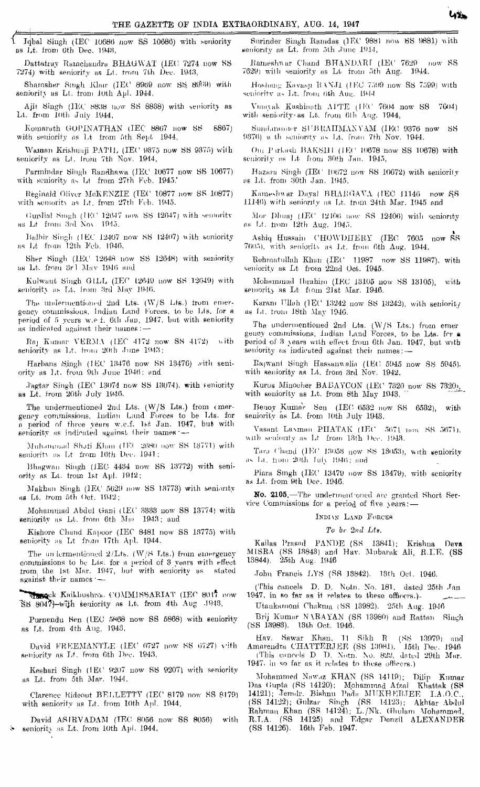*i* Iqbal Singh (IEC 10686 now SS 10686) with seniority as Lt. from 6th Dec. 1948,

Dattatray Ramchandra BHAGWAT (IEC 7274 now SS 7274) with seniority as LI. from 7th Dec. 1943,

 $Shamsber$  Singh Klair (IEC 8969 now SS 8969) with seniority us Lt. trom Joth AJJI. J944,

Ajit Singh (IEC H83H now SS 8838) with seniority as Lt. from loth July 1944,

Komaruth GOPINATHAN (IEC 8867 now SS 6867) with seniority as Lt from 5th Sept  $1944$ ,

Wannan Krishmaji PATIL (IEC 9875 now SS 9375) with seniority as Lt. Irom 7th Nov. 1944,

Parmindar Singh Randhawa (IEC 10677 now SS 10677) with seniority as Lt from 27th Feb. 1945.

Reginald Oliver MeKENZIE (TEC 10877 now SS 10877) with semority as Lt. from 27th Feb. 1945.

Gurdial Smgh (IEC 12647 now SS 12647) with semority as Lt from 3rd No\ 10-15.

Balbir Singh (IEC 12407 now SS 12407) with seniority ns Lt ironi 12th Feb. 1040.

Sher Singh (IEC 12648 now SS 12648) with seniority as Lt. from 3r1 May 1946 and

Kulwaut Singh GILL (IEC 12649 now SS 12649) with seniority as Lt. Irom 3rd May 1946.

The undermentioned 2nd Lts.  $(W/S$  Lts.) trom emergency commissions, Indian Land Forces, to be Lts, for a period of 5 years w.e f. 6th Jan, 1947, but with seniority as indicated against their names: -

 $Ra_1$  Kumar VERMA (IEC 4172 now SS 4172) with seniority as Lt. Irom 20th June 1943;

Harbans Singh (IEC 13476 now SS 13476) with seniority as Lt. from 9th June 1946: und

Jagtar Singh (IEC 13074 now SS 13074), with seniority as Lt. from 20th July 1946.

The undermentioned 2nd Lts. (W/S Lts.) from emergency commissions, lndinn Land Forces to be Lts. for n period of three years w.e.f. 1st Jan. 1947, but with seniority as indicated against their names :-

Muhammad Shafi Khan (IEC 2680 now SS 13771) with seniority as Lt from 16th Dec. 1941;

Bhagwan Singh (IEC 4434 now SS 13772) with seniority as Lt. trom 1st Apl. 1912;

Makhan Singh (IEC 5629 now SS 13773) with seniority as Lt. trom 5th Oct. 1942;

Mohammad Abdul Gani (IEC 3333 now SS 13774) with Reniority us Lt. from 6th Mm 1943; and

Kishore Chund Kapoor (IEC 8481 now SS 13775) with seniority as Lt from 17th Apl. 1944.

The undermentioned  $2/L$ ts. (W/S Lts.) from emergency commissions to be Lts. for a period of 3 years with effect trom the 1st Mar. 1947, hut with seniority us stated against their names  $-$ 

Where Kaikhushron, COMMISSARIAT (IEC 8017 now "SS 8047)-WIJih seniority *na* lit, from 4tfi Aug -1943,

Purnendu Sen (IEC 5H68 now 88 6868) with Beniority ns Lt. from 4th Aug. 1943,

 $D<sub>4</sub>$ vid FREEMANTLE (IEC 6727 now SS 6727) vith seniority as Lf. from 6th Dec. 1943,

Keshari Singh (IEC 9207 now 88 9207) with seniority as Lt. from 5th Mar. 1944,

Clarence Hideout BELLETTY (TEC 8179 now SS 8179) with seniority as Lt. from 10th Apl. 1944,

David ASIRVADAM (IEC 8056 now SS 8056) with seniority as Lt. from 10th Apl. 1944,

Surinder Singh Ramdas (IEC 9881 now SS 9881) with seniority as Lt. from 5th June 1914,

Rameshwar Chand BHANDARI (IEC 7629 now SS 7629) willi seniority as Lt from 5th Aug. 1944.

Hoshang Kavasu RANJ1 (IEC 7599 now SS 7599) with seniority as Lt. from 6th Aug. 1944.

Vimnyak Kashinath Al'TE (IEC 7604 now SS 7604) with seniority as Lt. from 6th Aug. 1944,

Sundaranner SUBRAHMAXYAM (IEC 9376 now SS 9376) w th seniority as Lt. from 7th Nov. 1944.

Ong P g kash HAKSHI (IEC 10678 now SS 10678) with seniority as Lt from 30th Jan. 1945,

Hazara Singh (IEC 10672 now SS 10672) with seniority as Lt. from 30th Jan. 1945,

Kameshwar Dayal BHARGAVA (IEC 11146 now SS 11146) with seniority as Lt. from 24th Mar. 1945 and

Mor Dhuaj (IEC 12106 now SS 12400) with seniority as Lt. trom 12th Aug. 1945.

Ashiq Hussain CHOWDHERY (IEC 7605 now SS 7605), with senioritv as Lt. from 6th *Aug.* 1944.

Rehmatullah Khun (IEC 11987 now SS 11987), with seniority as  $Lt$  from  $22nd$  Oct. 1945.

Mohammad Ibrahim (IEC 13105 now SS 13105), with seniority as Lt from 21st Mar. 1946.

Karam Ulluh (IEC 13242 now SS 13242), with seniority as Li. from 18th May 1940.

The undermentioned 2nd Lts. (W/S Lts.) from emer gency commissions, Indian Land Forces, to be Lts. for a period of 3 years wiLh effect from 6th Jan. 1947, but with seniority as indicated against their names: -

Rajwant Singh Hassanwalia (IEC 5945 now SS 5045). with seniority as Lt. from 3rd Nov. 1942,

Kurus Minocher BABAYCON (IEC 7320 now SS 7320), with seniority as Lt. from 8th May 1043.

Benoy Kumar Sen  $(IEC 6582 now SS 6582)$ , with seniority as Lt. from 10th July 1943.

Vasant Laxman PHATAK (IEC 5671 now SS 5671), with seniority as Lt from 13th Dec. 1943.

Tara Chand (IEC 13053 now SS 13053), with seniority as Lt.  $\text{hom } 200\text{h}$  July 1946; and

Piara Singh (IEC 13479 now SS 13479), with seniority as Lt. fiom 9th Doc. 1946.

No. 2105.—The underineni'oned are granted Short Service Commissions for a period of five  $\gamma$ ears: —

INDI\N LAND FOBCKR

*To hr 2nd LU.*

Kailas Prasud PANDE (SS 13841); Krishna Deva MISRA (SS 13843) and Hav. Mubarak Ali, R.I.E. (SS 13844). 25th Aug. 1946

John Francis LYS (SS 13842). 13th Oct. 1946.

(This cancels D. D. Notn. No. 181, dated 25th *Jnn* 1947, in so far as it relates to these officers.)-

Utankamoni Chakma (SS 13982). 25th Aug. 1946

Brij Kumar NARAYAN (SS 13980) and Rattan Singh (SS 18988). 13th Oct. 1946.

Hav. Sawar Khan, 11 Sikh R (SS 13979) and Amnrendra CHATTEEJEE (SS 189H1). 15tli Dec 1946 (This cancels  $D$   $D$ . Notn. No. 822, dated 29th Mar.

1947, in so far as it relates to these officers.)

Mohammed Nnwaz KHAN (SS 14119); Dilip Kumar Das Gupta (RS 14120); Mphammnd Afzal Khattak (88 14121); Jemdr. Bishnu Pada MUKHERLEE I.A.O.C., (SS 14122); Gnlzar Singh (RS 14123); Akhtar Abdul  $Rahman$  Khan (SS 14124); L./Nk. Ghulam Mohammed, E.LA. (S8 14125) and Edgar Denzil ALEXANDER (SS 14126). 16th Feb. 1947. "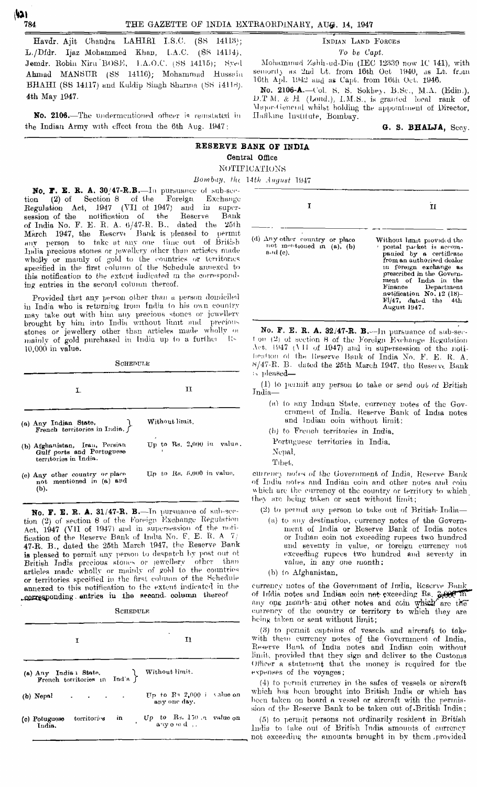ו בוי r

Havdr. Ajit Chandra LAHIRI I.S.C. (SS 14118); L./Dfdr. Ijaz Mohammed Khan, L.A.C. (SS L41J4), Jemdr. Robin Niru BOSE, 1.A.O.C. (SS 14115); Syed Ahmad MANSUR (SS 14116); Mohammad Hussein BHAHI (SS 14117) and Kuldip Singh Sharma (SS 14118). 4th May 1947.

**No. 2106.**—The undermentioned officer is reinstated in the Indian Army with effect from the 6th Aug. 1947:

#### INDIAN LAND FOBCES

*To be Capt.*

Mohammad Zahii-ud-Din (IEC 12339 now IC 141), with semority as 2nd Lt. from 16th Oct 1940, as Lt. from 16th Apl. 1942 and as Capt, from 16th Oct. 1946.

No. **2106-A.—**I'ol. H. S. Sokliev, B.Sc, M.A. (Edin,), D.T M. & H (Lond.), I.M.S., is granted local rank of \hi]oi--(ieiirinl whilst holding the appointment of Director, Ilaflkine Institute, Bombay.

**G. S. BHALJA,** Secy.

# **RESERVE BANK OF INDIA** Central Office NOTIFICATIONS

*Bombay, the 14th Amjimt* 1947

No. F. E. R. A. 30/47-R.B.—In pursuance of sub-sec-<br>on (2) of Section 8 of the Foreign Exchange tion  $(2)$  of Section 8 of the Begulation Act, 1947 (VII of 1947) and in supersession of the notification of the Reserve Bank of India No. F. E. R. A.  $6/47-R$ . B., dated the  $25th$ March 1947, the Rescrve Bank is pleased to permit any person to take at any one time out of British India precious stones or jewellery other than articles made wholly or mainly of gold to the countries or territories specified in the first column of the Schedule annexed to this notification to the extent indicated m the corresponding entries in the second column thereof.

Provided that any person other than a person domiciled in India who is returning from Tndia *in* hit) own country may take out with him any precious stones or jewellery brought by him into India without limit and precious stones or jewellery other than articles made wholly or mainly of gold purchased in India up to a further  $10,000$  in value.

**SOHEDULE** 

|                                                                                      | п                           |  |
|--------------------------------------------------------------------------------------|-----------------------------|--|
| (a) Any Indian State.<br>French territorios in India.                                | Without limit.              |  |
| (b) Afghanistan, Iran, Persian<br>Gulf ports and Portuguese<br>territories in India. | Up to Rs. 2,000 in value.   |  |
| (c) Any other country or place<br>not mentioned in (a) and<br>(b).                   | Up to Rs. $5,000$ in value. |  |

No. F. E. R. A. 31/47-R. B.-In pursuance of sub-sec- ${\rm tion}$  (2) of section 8 of the Foreign Exchange Regulation Act,  $1947$  (VII of 1947) and in supersession of the notification of the Keserve Bank of India No. F. E. R. A 7/ 47-R. B., dated the 25th March 1947, tbe Eeserve Bank is pleased to permit any person *in* despatch by post out ot British India precious stones or lewcllerv other than  ${\rm articles}$  made wholly or mainly of gold to the countries or territories specified in the first column of the Schedule annexed to this notification to Ihe extent indicated in the corresponding entries in the second- column thereof

**SCHEDULE** 

| I                                                     |                                   | 11                                           |  |
|-------------------------------------------------------|-----------------------------------|----------------------------------------------|--|
| (a) Any India i State.<br>French territories in India |                                   | Without limit.                               |  |
| (b) Nepal                                             | the control of the control of the | Up to $R_3$ 2,000 i value on<br>any one day. |  |
| (c) Potuguese territories<br>India.                   | in                                | Up to Bs. 150 n value on                     |  |

| т                                                                                    | 11                                                                                                                                                                                                                                                                                                |
|--------------------------------------------------------------------------------------|---------------------------------------------------------------------------------------------------------------------------------------------------------------------------------------------------------------------------------------------------------------------------------------------------|
| (d) Any other country or place<br>not moutioned in $(a)$ , $(b)$<br>$a \cdot d$ (c). | Without limit provided the<br>postal packet is accom-<br>panied by a certificate<br>from an authorised dealor<br>In foreign exchange as<br>prescribed in the Govern-<br>ment of India in the<br>Finance Department<br>notification No. 12 (18)-<br>$\text{Fl}/47$ , dated the 4th<br>August 1947. |

No. F. E. R. A. 32/47-R. B. -- In pursuance of  $\text{sub-sec}$ .  $t$  on (2) of section 8 of the Foreign Exchange Regulation Act, li)47 *(\* II of 1947) and in supersession of the notilir-:ihoh ol tlin Iteserve IJiuik of India No. F. E. It. A.  $8/47-R$ . B. dated the 25th March 1947, the Reserve Bank is pleased—

(1) to pennit any person to take or send out of British India—

(a) to any Indian State, currency notes of the Government of India. Keserve Bank of India notes and Indian coin without limit:

(b) to French territories in India.

Portuguese territories in India.

Nepal, Tibet,

currency notes of the Government of India, Reserve Bank of India notes and Indian coin and other notes and coin which are the currency of the country or territory to which they are being taken or sent without limit;

(2) to permit any person to take out of British- India—

- (a) to nny destination, currency notes of the Government of India or Eeserve Bank of India notes or Indian coin not exceeding rupees two hundred and seventy in value, or foreign currency not exceeding rupees two hundred and seventy in value, in any one month;
- (b) to Afghanistan,

currency notes of the Government of India, Reserve Bank of India notes and Indian coin not-exceeding Rs. 3,000 In any one month- and other notes and coin which are the currency of the country or territory to which they are being taken or sent without limit;

 $(3)$  to permit captains of vessels and aircraft to take with them currency notes of the Government of India, Reserve Bank of India notes and Indian coin without limit, provided that they sign and deliver to the Customs Officer a statement that the money in required for the expenses of the voyages;

(4) to permit currency in the safes of vessels or aircraft which has been brought into British India or which has been taken on board a vessel or aircraft with tho permission of the Eeserve Bank to be taken out of-British Tndin;

(5) to permit persons not ordinarily resident in British India to lake out of British Tndia amounts of currency not exceeding the amounts brought in by them , provided